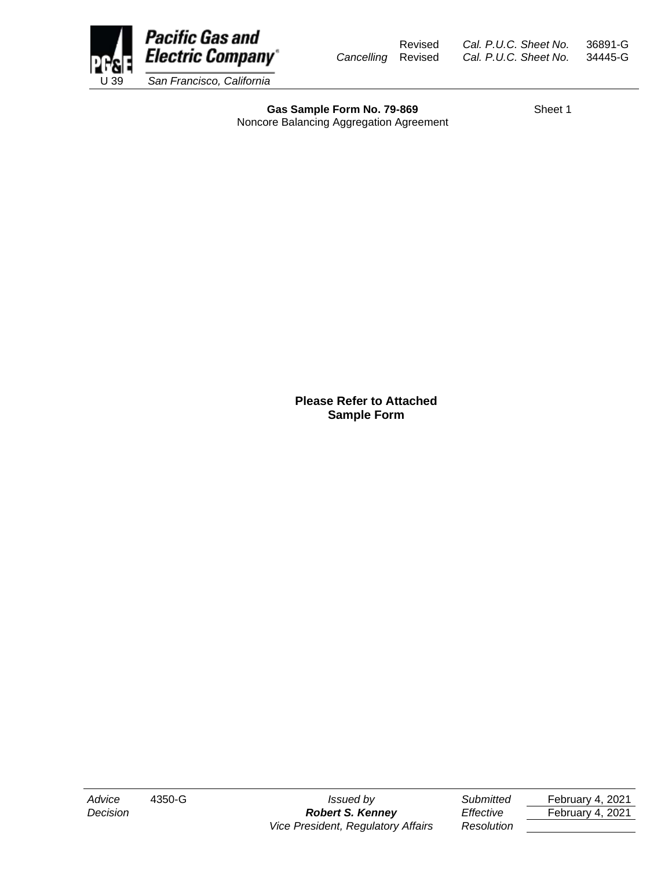

Gas Sample Form No. 79-869 Sheet 1 Noncore Balancing Aggregation Agreement

**Please Refer to Attached Sample Form**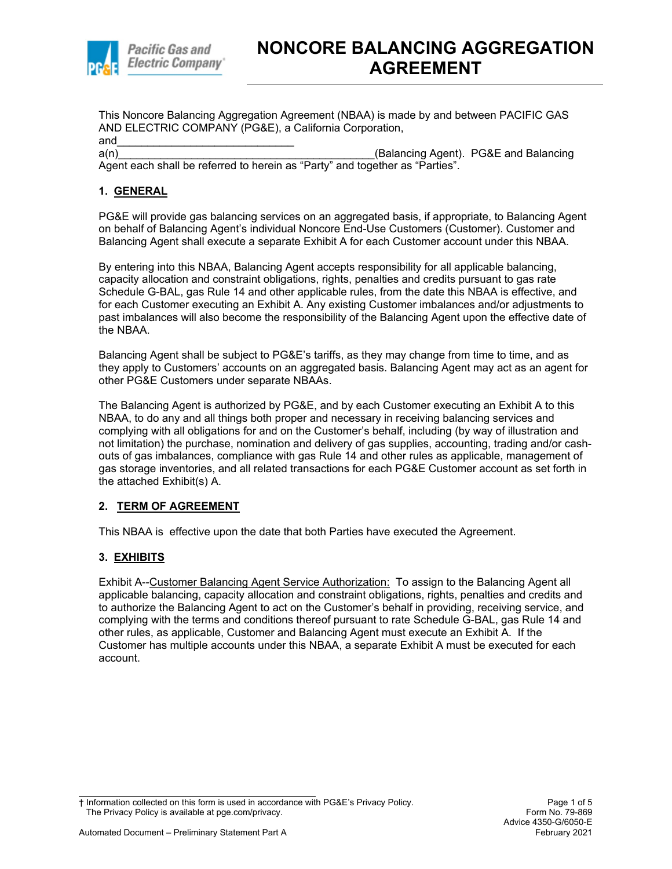

This Noncore Balancing Aggregation Agreement (NBAA) is made by and between PACIFIC GAS AND ELECTRIC COMPANY (PG&E), a California Corporation,

and\_\_\_\_\_\_\_\_\_\_\_\_\_\_\_\_\_\_\_\_\_\_\_\_\_\_\_\_\_ a(n) and the settle of the settle of the settle of the settle of the settle of the settle of the settle of the settle of the settle of the settle of the settle of the settle of the settle of the settle of the settle of the Agent each shall be referred to herein as "Party" and together as "Parties".

## **1. GENERAL**

PG&E will provide gas balancing services on an aggregated basis, if appropriate, to Balancing Agent on behalf of Balancing Agent's individual Noncore End-Use Customers (Customer). Customer and Balancing Agent shall execute a separate Exhibit A for each Customer account under this NBAA.

By entering into this NBAA, Balancing Agent accepts responsibility for all applicable balancing, capacity allocation and constraint obligations, rights, penalties and credits pursuant to gas rate Schedule G-BAL, gas Rule 14 and other applicable rules, from the date this NBAA is effective, and for each Customer executing an Exhibit A. Any existing Customer imbalances and/or adjustments to past imbalances will also become the responsibility of the Balancing Agent upon the effective date of the NBAA.

Balancing Agent shall be subject to PG&E's tariffs, as they may change from time to time, and as they apply to Customers' accounts on an aggregated basis. Balancing Agent may act as an agent for other PG&E Customers under separate NBAAs.

The Balancing Agent is authorized by PG&E, and by each Customer executing an Exhibit A to this NBAA, to do any and all things both proper and necessary in receiving balancing services and complying with all obligations for and on the Customer's behalf, including (by way of illustration and not limitation) the purchase, nomination and delivery of gas supplies, accounting, trading and/or cashouts of gas imbalances, compliance with gas Rule 14 and other rules as applicable, management of gas storage inventories, and all related transactions for each PG&E Customer account as set forth in the attached Exhibit(s) A.

## **2. TERM OF AGREEMENT**

This NBAA is effective upon the date that both Parties have executed the Agreement.

## **3. EXHIBITS**

Exhibit A--Customer Balancing Agent Service Authorization: To assign to the Balancing Agent all applicable balancing, capacity allocation and constraint obligations, rights, penalties and credits and to authorize the Balancing Agent to act on the Customer's behalf in providing, receiving service, and complying with the terms and conditions thereof pursuant to rate Schedule G-BAL, gas Rule 14 and other rules, as applicable, Customer and Balancing Agent must execute an Exhibit A. If the Customer has multiple accounts under this NBAA, a separate Exhibit A must be executed for each account.

<sup>†</sup> Information collected on this form is used in accordance with PG&E's Privacy Policy. Page 1 of 5 The Privacy Policy is available at pge.com/privacy.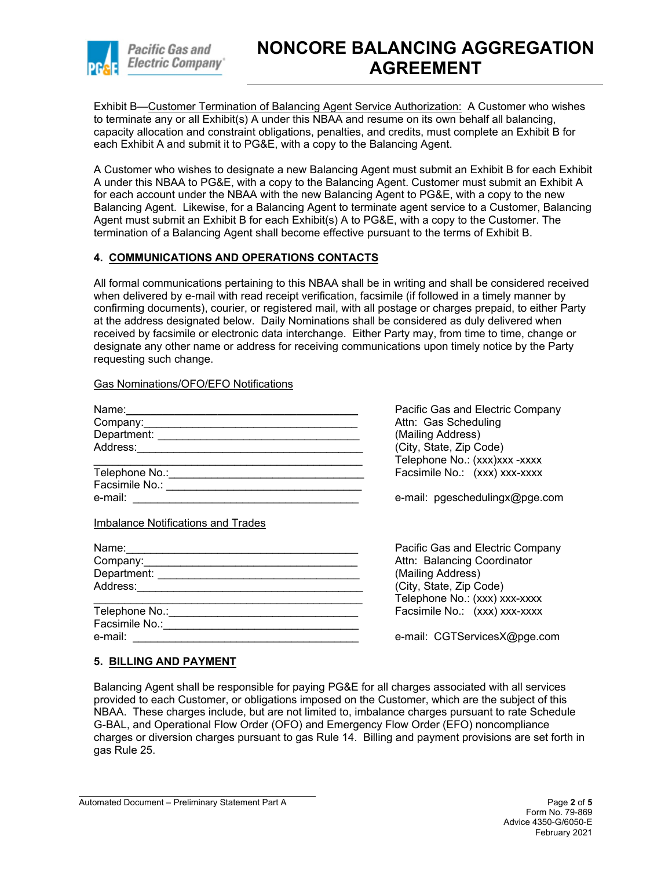

# **NONCORE BALANCING AGGREGATION AGREEMENT**

Exhibit B—Customer Termination of Balancing Agent Service Authorization: A Customer who wishes to terminate any or all Exhibit(s) A under this NBAA and resume on its own behalf all balancing, capacity allocation and constraint obligations, penalties, and credits, must complete an Exhibit B for each Exhibit A and submit it to PG&E, with a copy to the Balancing Agent.

A Customer who wishes to designate a new Balancing Agent must submit an Exhibit B for each Exhibit A under this NBAA to PG&E, with a copy to the Balancing Agent. Customer must submit an Exhibit A for each account under the NBAA with the new Balancing Agent to PG&E, with a copy to the new Balancing Agent. Likewise, for a Balancing Agent to terminate agent service to a Customer, Balancing Agent must submit an Exhibit B for each Exhibit(s) A to PG&E, with a copy to the Customer. The termination of a Balancing Agent shall become effective pursuant to the terms of Exhibit B.

### **4. COMMUNICATIONS AND OPERATIONS CONTACTS**

All formal communications pertaining to this NBAA shall be in writing and shall be considered received when delivered by e-mail with read receipt verification, facsimile (if followed in a timely manner by confirming documents), courier, or registered mail, with all postage or charges prepaid, to either Party at the address designated below. Daily Nominations shall be considered as duly delivered when received by facsimile or electronic data interchange. Either Party may, from time to time, change or designate any other name or address for receiving communications upon timely notice by the Party requesting such change.

#### Gas Nominations/OFO/EFO Notifications

| Name: 2008 2009 2010 2021 2022 2023 2024 2022 2023 2024 2022 2023 2024 2022 2023 2024 2022 2023 2024 2022 2023 | Pacific Gas and Electric Company |
|----------------------------------------------------------------------------------------------------------------|----------------------------------|
| Company: Company:                                                                                              | Attn: Gas Scheduling             |
|                                                                                                                | (Mailing Address)                |
|                                                                                                                | (City, State, Zip Code)          |
|                                                                                                                | Telephone No.: (xxx)xxx -xxxx    |
|                                                                                                                | Facsimile No.: (xxx) xxx-xxxx    |
|                                                                                                                |                                  |
|                                                                                                                | e-mail: pgeschedulingx@pge.com   |
| Imbalance Notifications and Trades                                                                             | Pacific Gas and Electric Company |
|                                                                                                                |                                  |
|                                                                                                                | Attn: Balancing Coordinator      |
|                                                                                                                | (Mailing Address)                |
|                                                                                                                | (City, State, Zip Code)          |
|                                                                                                                | Telephone No.: (xxx) xxx-xxxx    |
| Telephone No.: <u>Communications</u> Control and Control of Telephone No.:                                     | Facsimile No.: (xxx) xxx-xxxx    |
|                                                                                                                |                                  |
| e-mail:                                                                                                        | e-mail: CGTServicesX@pge.com     |
|                                                                                                                |                                  |

#### **5. BILLING AND PAYMENT**

Balancing Agent shall be responsible for paying PG&E for all charges associated with all services provided to each Customer, or obligations imposed on the Customer, which are the subject of this NBAA. These charges include, but are not limited to, imbalance charges pursuant to rate Schedule G-BAL, and Operational Flow Order (OFO) and Emergency Flow Order (EFO) noncompliance charges or diversion charges pursuant to gas Rule 14. Billing and payment provisions are set forth in gas Rule 25.

Automated Document – Preliminary Statement Part A Page **2** of **5**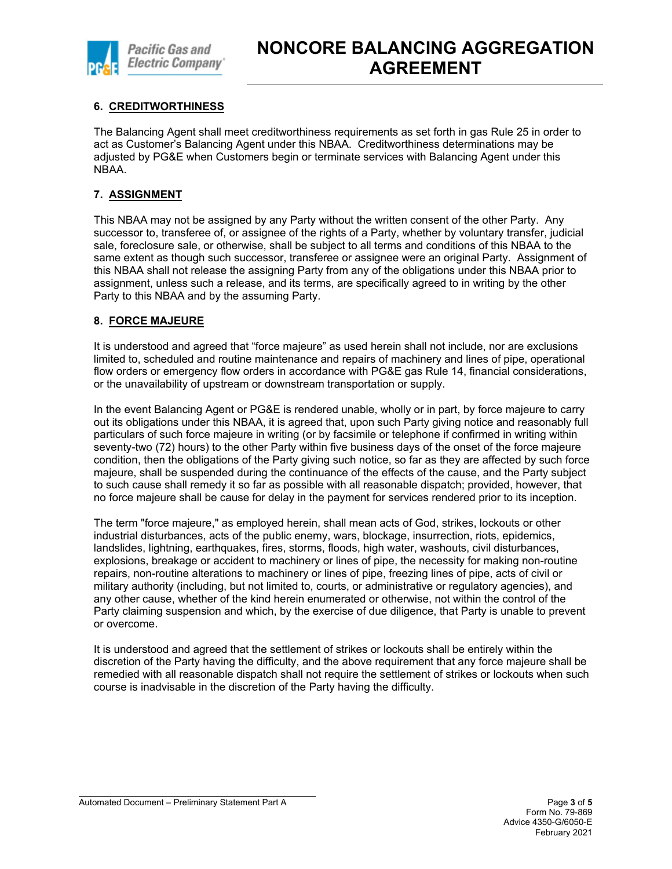

# **6. CREDITWORTHINESS**

The Balancing Agent shall meet creditworthiness requirements as set forth in gas Rule 25 in order to act as Customer's Balancing Agent under this NBAA. Creditworthiness determinations may be adjusted by PG&E when Customers begin or terminate services with Balancing Agent under this NBAA.

## **7. ASSIGNMENT**

This NBAA may not be assigned by any Party without the written consent of the other Party. Any successor to, transferee of, or assignee of the rights of a Party, whether by voluntary transfer, judicial sale, foreclosure sale, or otherwise, shall be subject to all terms and conditions of this NBAA to the same extent as though such successor, transferee or assignee were an original Party. Assignment of this NBAA shall not release the assigning Party from any of the obligations under this NBAA prior to assignment, unless such a release, and its terms, are specifically agreed to in writing by the other Party to this NBAA and by the assuming Party.

#### **8. FORCE MAJEURE**

It is understood and agreed that "force majeure" as used herein shall not include, nor are exclusions limited to, scheduled and routine maintenance and repairs of machinery and lines of pipe, operational flow orders or emergency flow orders in accordance with PG&E gas Rule 14, financial considerations, or the unavailability of upstream or downstream transportation or supply.

In the event Balancing Agent or PG&E is rendered unable, wholly or in part, by force majeure to carry out its obligations under this NBAA, it is agreed that, upon such Party giving notice and reasonably full particulars of such force majeure in writing (or by facsimile or telephone if confirmed in writing within seventy-two (72) hours) to the other Party within five business days of the onset of the force majeure condition, then the obligations of the Party giving such notice, so far as they are affected by such force majeure, shall be suspended during the continuance of the effects of the cause, and the Party subject to such cause shall remedy it so far as possible with all reasonable dispatch; provided, however, that no force majeure shall be cause for delay in the payment for services rendered prior to its inception.

The term "force majeure," as employed herein, shall mean acts of God, strikes, lockouts or other industrial disturbances, acts of the public enemy, wars, blockage, insurrection, riots, epidemics, landslides, lightning, earthquakes, fires, storms, floods, high water, washouts, civil disturbances, explosions, breakage or accident to machinery or lines of pipe, the necessity for making non-routine repairs, non-routine alterations to machinery or lines of pipe, freezing lines of pipe, acts of civil or military authority (including, but not limited to, courts, or administrative or regulatory agencies), and any other cause, whether of the kind herein enumerated or otherwise, not within the control of the Party claiming suspension and which, by the exercise of due diligence, that Party is unable to prevent or overcome.

It is understood and agreed that the settlement of strikes or lockouts shall be entirely within the discretion of the Party having the difficulty, and the above requirement that any force majeure shall be remedied with all reasonable dispatch shall not require the settlement of strikes or lockouts when such course is inadvisable in the discretion of the Party having the difficulty.

Automated Document – Preliminary Statement Part A **Page 3** of **5 Page 3** of **5**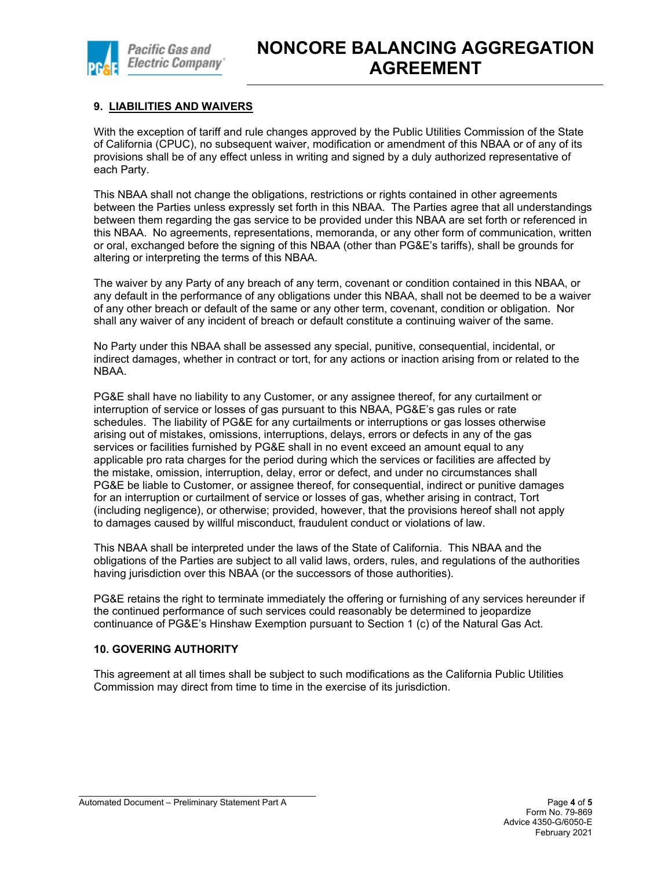

## **9. LIABILITIES AND WAIVERS**

With the exception of tariff and rule changes approved by the Public Utilities Commission of the State of California (CPUC), no subsequent waiver, modification or amendment of this NBAA or of any of its provisions shall be of any effect unless in writing and signed by a duly authorized representative of each Party.

This NBAA shall not change the obligations, restrictions or rights contained in other agreements between the Parties unless expressly set forth in this NBAA. The Parties agree that all understandings between them regarding the gas service to be provided under this NBAA are set forth or referenced in this NBAA. No agreements, representations, memoranda, or any other form of communication, written or oral, exchanged before the signing of this NBAA (other than PG&E's tariffs), shall be grounds for altering or interpreting the terms of this NBAA.

The waiver by any Party of any breach of any term, covenant or condition contained in this NBAA, or any default in the performance of any obligations under this NBAA, shall not be deemed to be a waiver of any other breach or default of the same or any other term, covenant, condition or obligation. Nor shall any waiver of any incident of breach or default constitute a continuing waiver of the same.

No Party under this NBAA shall be assessed any special, punitive, consequential, incidental, or indirect damages, whether in contract or tort, for any actions or inaction arising from or related to the NBAA.

PG&E shall have no liability to any Customer, or any assignee thereof, for any curtailment or interruption of service or losses of gas pursuant to this NBAA, PG&E's gas rules or rate schedules. The liability of PG&E for any curtailments or interruptions or gas losses otherwise arising out of mistakes, omissions, interruptions, delays, errors or defects in any of the gas services or facilities furnished by PG&E shall in no event exceed an amount equal to any applicable pro rata charges for the period during which the services or facilities are affected by the mistake, omission, interruption, delay, error or defect, and under no circumstances shall PG&E be liable to Customer, or assignee thereof, for consequential, indirect or punitive damages for an interruption or curtailment of service or losses of gas, whether arising in contract, Tort (including negligence), or otherwise; provided, however, that the provisions hereof shall not apply to damages caused by willful misconduct, fraudulent conduct or violations of law.

This NBAA shall be interpreted under the laws of the State of California. This NBAA and the obligations of the Parties are subject to all valid laws, orders, rules, and regulations of the authorities having jurisdiction over this NBAA (or the successors of those authorities).

PG&E retains the right to terminate immediately the offering or furnishing of any services hereunder if the continued performance of such services could reasonably be determined to jeopardize continuance of PG&E's Hinshaw Exemption pursuant to Section 1 (c) of the Natural Gas Act.

#### **10. GOVERING AUTHORITY**

This agreement at all times shall be subject to such modifications as the California Public Utilities Commission may direct from time to time in the exercise of its jurisdiction.